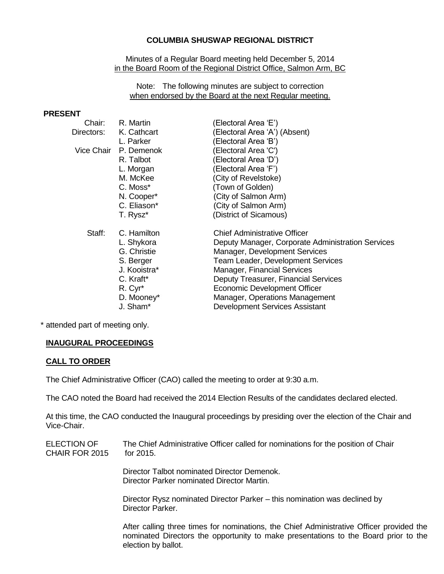## **COLUMBIA SHUSWAP REGIONAL DISTRICT**

Minutes of a Regular Board meeting held December 5, 2014 in the Board Room of the Regional District Office, Salmon Arm, BC

Note: The following minutes are subject to correction when endorsed by the Board at the next Regular meeting.

#### **PRESENT**

| Chair:     | R. Martin           | (Electoral Area 'E')                              |
|------------|---------------------|---------------------------------------------------|
| Directors: | K. Cathcart         | (Electoral Area 'A') (Absent)                     |
|            | L. Parker           | (Electoral Area 'B')                              |
| Vice Chair | P. Demenok          | (Electoral Area 'C')                              |
|            | R. Talbot           | (Electoral Area 'D')                              |
|            | L. Morgan           | (Electoral Area 'F')                              |
|            | M. McKee            | (City of Revelstoke)                              |
|            | C. Moss*            | (Town of Golden)                                  |
|            | N. Cooper*          | (City of Salmon Arm)                              |
|            | C. Eliason*         | (City of Salmon Arm)                              |
|            | T. Rysz*            | (District of Sicamous)                            |
| Staff:     | C. Hamilton         | <b>Chief Administrative Officer</b>               |
|            | L. Shykora          | Deputy Manager, Corporate Administration Services |
|            | G. Christie         | Manager, Development Services                     |
|            | S. Berger           | Team Leader, Development Services                 |
|            | J. Kooistra*        | <b>Manager, Financial Services</b>                |
|            | C. Kraft*           | Deputy Treasurer, Financial Services              |
|            | R. Cyr <sup>*</sup> | Economic Development Officer                      |
|            | D. Mooney*          | Manager, Operations Management                    |
|            | J. Sham*            | <b>Development Services Assistant</b>             |
|            |                     |                                                   |

\* attended part of meeting only.

# **INAUGURAL PROCEEDINGS**

#### **CALL TO ORDER**

The Chief Administrative Officer (CAO) called the meeting to order at 9:30 a.m.

The CAO noted the Board had received the 2014 Election Results of the candidates declared elected.

At this time, the CAO conducted the Inaugural proceedings by presiding over the election of the Chair and Vice-Chair.

ELECTION OF CHAIR FOR 2015 The Chief Administrative Officer called for nominations for the position of Chair for 2015.

> Director Talbot nominated Director Demenok. Director Parker nominated Director Martin.

Director Rysz nominated Director Parker – this nomination was declined by Director Parker.

After calling three times for nominations, the Chief Administrative Officer provided the nominated Directors the opportunity to make presentations to the Board prior to the election by ballot.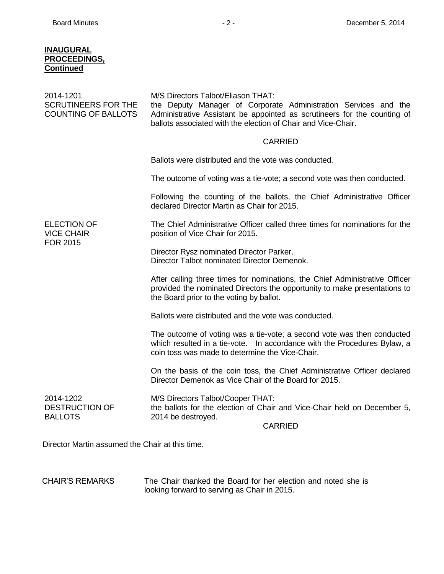## **INAUGURAL PROCEEDINGS, Continued**

| 2014-1201<br><b>SCRUTINEERS FOR THE</b><br><b>COUNTING OF BALLOTS</b> | M/S Directors Talbot/Eliason THAT:<br>the Deputy Manager of Corporate Administration Services and the<br>Administrative Assistant be appointed as scrutineers for the counting of<br>ballots associated with the election of Chair and Vice-Chair. |
|-----------------------------------------------------------------------|----------------------------------------------------------------------------------------------------------------------------------------------------------------------------------------------------------------------------------------------------|
|                                                                       | <b>CARRIED</b>                                                                                                                                                                                                                                     |
|                                                                       | Ballots were distributed and the vote was conducted.                                                                                                                                                                                               |
|                                                                       | The outcome of voting was a tie-vote; a second vote was then conducted.                                                                                                                                                                            |
|                                                                       | Following the counting of the ballots, the Chief Administrative Officer<br>declared Director Martin as Chair for 2015.                                                                                                                             |
| <b>ELECTION OF</b><br><b>VICE CHAIR</b>                               | The Chief Administrative Officer called three times for nominations for the<br>position of Vice Chair for 2015.                                                                                                                                    |
| <b>FOR 2015</b>                                                       | Director Rysz nominated Director Parker.<br>Director Talbot nominated Director Demenok.                                                                                                                                                            |
|                                                                       | After calling three times for nominations, the Chief Administrative Officer<br>provided the nominated Directors the opportunity to make presentations to<br>the Board prior to the voting by ballot.                                               |
|                                                                       | Ballots were distributed and the vote was conducted.                                                                                                                                                                                               |
|                                                                       | The outcome of voting was a tie-vote; a second vote was then conducted<br>which resulted in a tie-vote.  In accordance with the Procedures Bylaw, a<br>coin toss was made to determine the Vice-Chair.                                             |
|                                                                       | On the basis of the coin toss, the Chief Administrative Officer declared<br>Director Demenok as Vice Chair of the Board for 2015.                                                                                                                  |
| 2014-1202<br><b>DESTRUCTION OF</b><br><b>BALLOTS</b>                  | M/S Directors Talbot/Cooper THAT:<br>the ballots for the election of Chair and Vice-Chair held on December 5,<br>2014 be destroyed.<br><b>CARRIED</b>                                                                                              |
| Director Martin assumed the Chair at this time.                       |                                                                                                                                                                                                                                                    |

CHAIR'S REMARKS The Chair thanked the Board for her election and noted she is looking forward to serving as Chair in 2015.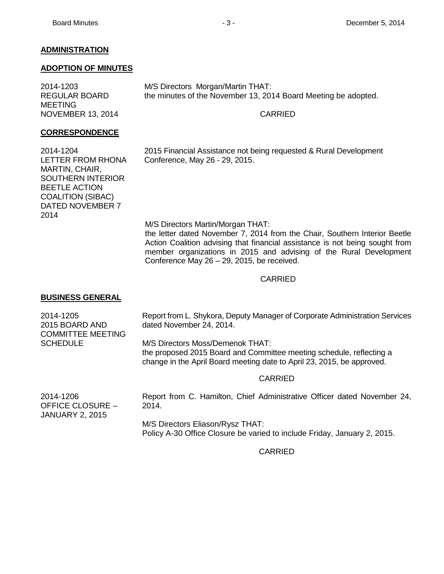# **ADMINISTRATION**

### **ADOPTION OF MINUTES**

2014-1203 REGULAR BOARD MEETING NOVEMBER 13, 2014 M/S Directors Morgan/Martin THAT: the minutes of the November 13, 2014 Board Meeting be adopted.

## CARRIED

## **CORRESPONDENCE**

2014-1204 LETTER FROM RHONA MARTIN, CHAIR, SOUTHERN INTERIOR BEETLE ACTION COALITION (SIBAC) DATED NOVEMBER 7 2014

2015 Financial Assistance not being requested & Rural Development Conference, May 26 - 29, 2015.

M/S Directors Martin/Morgan THAT: the letter dated November 7, 2014 from the Chair, Southern Interior Beetle Action Coalition advising that financial assistance is not being sought from member organizations in 2015 and advising of the Rural Development Conference May 26 – 29, 2015, be received.

## CARRIED

# **BUSINESS GENERAL**

| 2014-1205<br>2015 BOARD AND<br><b>COMMITTEE MEETING</b> | Report from L. Shykora, Deputy Manager of Corporate Administration Services<br>dated November 24, 2014.                                                                            |
|---------------------------------------------------------|------------------------------------------------------------------------------------------------------------------------------------------------------------------------------------|
| <b>SCHEDULE</b>                                         | M/S Directors Moss/Demenok THAT:<br>the proposed 2015 Board and Committee meeting schedule, reflecting a<br>change in the April Board meeting date to April 23, 2015, be approved. |
|                                                         | . <u>.</u>                                                                                                                                                                         |

#### CARRIED

2014-1206 OFFICE CLOSURE – JANUARY 2, 2015 Report from C. Hamilton, Chief Administrative Officer dated November 24, 2014. M/S Directors Eliason/Rysz THAT:

Policy A-30 Office Closure be varied to include Friday, January 2, 2015.

CARRIED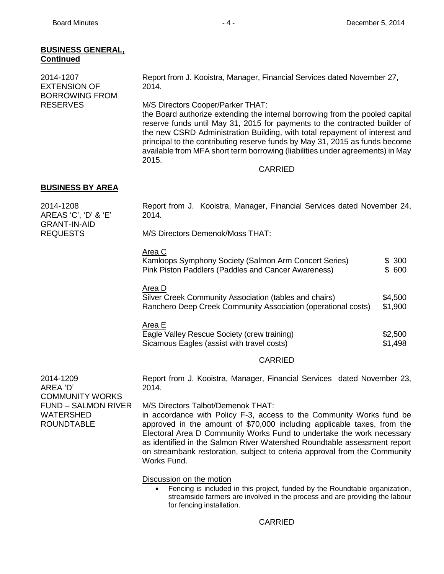| <b>BUSINESS GENERAL,</b><br><b>Continued</b>                                           |                                                                                                                                                                                                                                                                                                                                                                                                                                                        |                    |
|----------------------------------------------------------------------------------------|--------------------------------------------------------------------------------------------------------------------------------------------------------------------------------------------------------------------------------------------------------------------------------------------------------------------------------------------------------------------------------------------------------------------------------------------------------|--------------------|
| 2014-1207<br><b>EXTENSION OF</b>                                                       | Report from J. Kooistra, Manager, Financial Services dated November 27,<br>2014.                                                                                                                                                                                                                                                                                                                                                                       |                    |
| <b>BORROWING FROM</b><br><b>RESERVES</b>                                               | M/S Directors Cooper/Parker THAT:<br>the Board authorize extending the internal borrowing from the pooled capital<br>reserve funds until May 31, 2015 for payments to the contracted builder of<br>the new CSRD Administration Building, with total repayment of interest and<br>principal to the contributing reserve funds by May 31, 2015 as funds become<br>available from MFA short term borrowing (liabilities under agreements) in May<br>2015. |                    |
|                                                                                        | <b>CARRIED</b>                                                                                                                                                                                                                                                                                                                                                                                                                                         |                    |
| <b>BUSINESS BY AREA</b>                                                                |                                                                                                                                                                                                                                                                                                                                                                                                                                                        |                    |
| 2014-1208<br>AREAS 'C', 'D' & 'E'<br><b>GRANT-IN-AID</b>                               | Report from J. Kooistra, Manager, Financial Services dated November 24,<br>2014.                                                                                                                                                                                                                                                                                                                                                                       |                    |
| <b>REQUESTS</b>                                                                        | M/S Directors Demenok/Moss THAT:                                                                                                                                                                                                                                                                                                                                                                                                                       |                    |
|                                                                                        | Area C<br>Kamloops Symphony Society (Salmon Arm Concert Series)<br>Pink Piston Paddlers (Paddles and Cancer Awareness)                                                                                                                                                                                                                                                                                                                                 | \$300<br>\$ 600    |
|                                                                                        | Area D<br>Silver Creek Community Association (tables and chairs)<br>Ranchero Deep Creek Community Association (operational costs)                                                                                                                                                                                                                                                                                                                      | \$4,500<br>\$1,900 |
|                                                                                        | Area E<br>Eagle Valley Rescue Society (crew training)<br>Sicamous Eagles (assist with travel costs)                                                                                                                                                                                                                                                                                                                                                    | \$2,500<br>\$1,498 |
|                                                                                        | <b>CARRIED</b>                                                                                                                                                                                                                                                                                                                                                                                                                                         |                    |
| 2014-1209<br>AREA 'D'                                                                  | Report from J. Kooistra, Manager, Financial Services dated November 23,<br>2014.                                                                                                                                                                                                                                                                                                                                                                       |                    |
| <b>COMMUNITY WORKS</b><br><b>FUND - SALMON RIVER</b><br>WATERSHED<br><b>ROUNDTABLE</b> | M/S Directors Talbot/Demenok THAT:<br>in accordance with Policy F-3, access to the Community Works fund be<br>approved in the amount of \$70,000 including applicable taxes, from the<br>Electoral Area D Community Works Fund to undertake the work necessary<br>as identified in the Salmon River Watershed Roundtable assessment report<br>on streambank restoration, subject to criteria approval from the Community<br>Works Fund.                |                    |
|                                                                                        | Discussion on the motion                                                                                                                                                                                                                                                                                                                                                                                                                               |                    |

 Fencing is included in this project, funded by the Roundtable organization, streamside farmers are involved in the process and are providing the labour for fencing installation.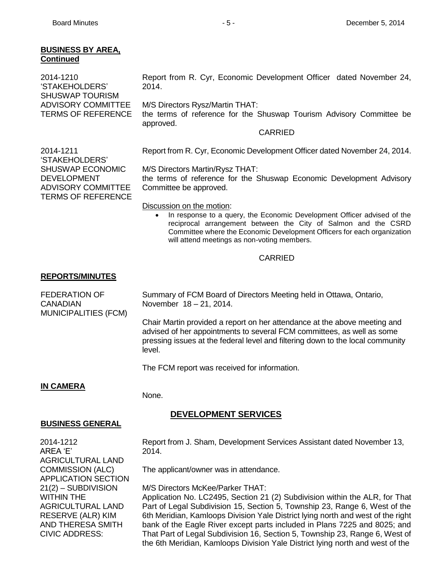## **BUSINESS BY AREA, Continued**

| 2014-1210<br>'STAKEHOLDERS'<br><b>SHUSWAP TOURISM</b>  | Report from R. Cyr, Economic Development Officer dated November 24,<br>2014.                                         |
|--------------------------------------------------------|----------------------------------------------------------------------------------------------------------------------|
| <b>ADVISORY COMMITTEE</b><br><b>TERMS OF REFERENCE</b> | M/S Directors Rysz/Martin THAT:<br>the terms of reference for the Shuswap Tourism Advisory Committee be<br>approved. |
|                                                        | <b>CARRIED</b>                                                                                                       |
| 2014-1211<br>'STAKEHOLDERS'                            | Report from R. Cyr, Economic Development Officer dated November 24, 2014.                                            |
| <b>SHUSWAP ECONOMIC</b><br><b>DEVELOPMENT</b>          | M/S Directors Martin/Rysz THAT:<br>the terms of reference for the Shuswap Economic Development Advisory              |

the terms of reference for the Shuswap Economic Development Advisory Committee be approved.

Discussion on the motion:

 In response to a query, the Economic Development Officer advised of the reciprocal arrangement between the City of Salmon and the CSRD Committee where the Economic Development Officers for each organization will attend meetings as non-voting members.

## CARRIED

## **REPORTS/MINUTES**

ADVISORY COMMITTEE TERMS OF REFERENCE

FEDERATION OF **CANADIAN** MUNICIPALITIES (FCM) Summary of FCM Board of Directors Meeting held in Ottawa, Ontario, November 18 – 21, 2014.

Chair Martin provided a report on her attendance at the above meeting and advised of her appointments to several FCM committees, as well as some pressing issues at the federal level and filtering down to the local community level.

The FCM report was received for information.

# **IN CAMERA**

None.

# **DEVELOPMENT SERVICES**

#### **BUSINESS GENERAL**

2014-1212 AREA 'E' AGRICULTURAL LAND COMMISSION (ALC) APPLICATION SECTION 21(2) – SUBDIVISION WITHIN THE AGRICULTURAL LAND RESERVE (ALR) KIM AND THERESA SMITH CIVIC ADDRESS:

Report from J. Sham, Development Services Assistant dated November 13, 2014.

The applicant/owner was in attendance.

M/S Directors McKee/Parker THAT:

Application No. LC2495, Section 21 (2) Subdivision within the ALR, for That Part of Legal Subdivision 15, Section 5, Township 23, Range 6, West of the 6th Meridian, Kamloops Division Yale District lying north and west of the right bank of the Eagle River except parts included in Plans 7225 and 8025; and That Part of Legal Subdivision 16, Section 5, Township 23, Range 6, West of the 6th Meridian, Kamloops Division Yale District lying north and west of the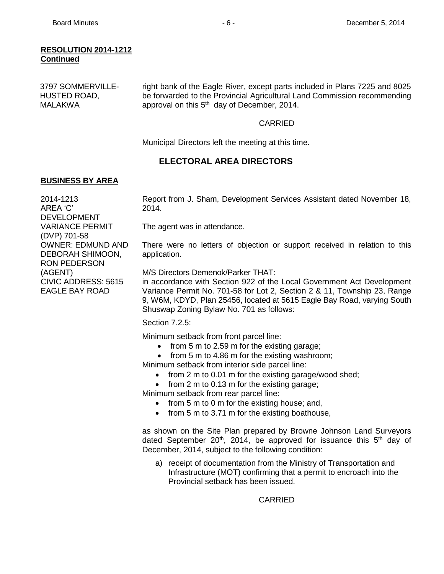#### **RESOLUTION 2014-1212 Continued**

| 3797 SOMMERVILLE- | right bank of the Eagle River, except parts included in Plans 7225 and 8025 |
|-------------------|-----------------------------------------------------------------------------|
| HUSTED ROAD,      | be forwarded to the Provincial Agricultural Land Commission recommending    |
| MALAKWA           | approval on this 5 <sup>th</sup> day of December, 2014.                     |

#### CARRIED

Municipal Directors left the meeting at this time.

# **ELECTORAL AREA DIRECTORS**

## **BUSINESS BY AREA**

2014-1213 AREA 'C' DEVELOPMENT VARIANCE PERMIT (DVP) 701-58 OWNER: EDMUND AND DEBORAH SHIMOON, RON PEDERSON (AGENT) CIVIC ADDRESS: 5615 EAGLE BAY ROAD

Report from J. Sham, Development Services Assistant dated November 18, 2014.

The agent was in attendance.

There were no letters of objection or support received in relation to this application.

M/S Directors Demenok/Parker THAT:

in accordance with Section 922 of the Local Government Act Development Variance Permit No. 701-58 for Lot 2, Section 2 & 11, Township 23, Range 9, W6M, KDYD, Plan 25456, located at 5615 Eagle Bay Road, varying South Shuswap Zoning Bylaw No. 701 as follows:

Section 7.2.5:

Minimum setback from front parcel line:

- $\bullet$  from 5 m to 2.59 m for the existing garage;
- from 5 m to 4.86 m for the existing washroom;

Minimum setback from interior side parcel line:

- from 2 m to 0.01 m for the existing garage/wood shed;
- $\bullet$  from 2 m to 0.13 m for the existing garage;

Minimum setback from rear parcel line:

- $\bullet$  from 5 m to 0 m for the existing house; and,
- from 5 m to 3.71 m for the existing boathouse,

as shown on the Site Plan prepared by Browne Johnson Land Surveyors dated September 20<sup>th</sup>, 2014, be approved for issuance this  $5<sup>th</sup>$  day of December, 2014, subject to the following condition:

a) receipt of documentation from the Ministry of Transportation and Infrastructure (MOT) confirming that a permit to encroach into the Provincial setback has been issued.

CARRIED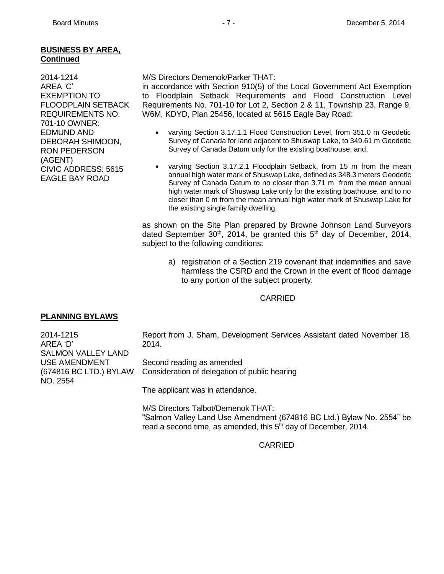# **BUSINESS BY AREA, Continued**

2014-1214 AREA 'C' EXEMPTION TO FLOODPLAIN SETBACK REQUIREMENTS NO. 701-10 OWNER: EDMUND AND DEBORAH SHIMOON, RON PEDERSON (AGENT) CIVIC ADDRESS: 5615 EAGLE BAY ROAD

#### M/S Directors Demenok/Parker THAT:

in accordance with Section 910(5) of the Local Government Act Exemption to Floodplain Setback Requirements and Flood Construction Level Requirements No. 701-10 for Lot 2, Section 2 & 11, Township 23, Range 9, W6M, KDYD, Plan 25456, located at 5615 Eagle Bay Road:

- varying Section 3.17.1.1 Flood Construction Level, from 351.0 m Geodetic Survey of Canada for land adjacent to Shuswap Lake, to 349.61 m Geodetic Survey of Canada Datum only for the existing boathouse; and,
- varying Section 3.17.2.1 Floodplain Setback, from 15 m from the mean annual high water mark of Shuswap Lake, defined as 348.3 meters Geodetic Survey of Canada Datum to no closer than 3.71 m from the mean annual high water mark of Shuswap Lake only for the existing boathouse, and to no closer than 0 m from the mean annual high water mark of Shuswap Lake for the existing single family dwelling,

as shown on the Site Plan prepared by Browne Johnson Land Surveyors dated September 30<sup>th</sup>, 2014, be granted this  $5<sup>th</sup>$  day of December, 2014, subject to the following conditions:

a) registration of a Section 219 covenant that indemnifies and save harmless the CSRD and the Crown in the event of flood damage to any portion of the subject property.

# CARRIED

# **PLANNING BYLAWS**

SALMON VALLEY LAND USE AMENDMENT

(674816 BC LTD.) BYLAW

2014-1215 AREA 'D'

NO. 2554

Report from J. Sham, Development Services Assistant dated November 18, 2014.

Second reading as amended Consideration of delegation of public hearing

The applicant was in attendance.

M/S Directors Talbot/Demenok THAT: "Salmon Valley Land Use Amendment (674816 BC Ltd.) Bylaw No. 2554" be read a second time, as amended, this 5<sup>th</sup> day of December, 2014.

# CARRIED